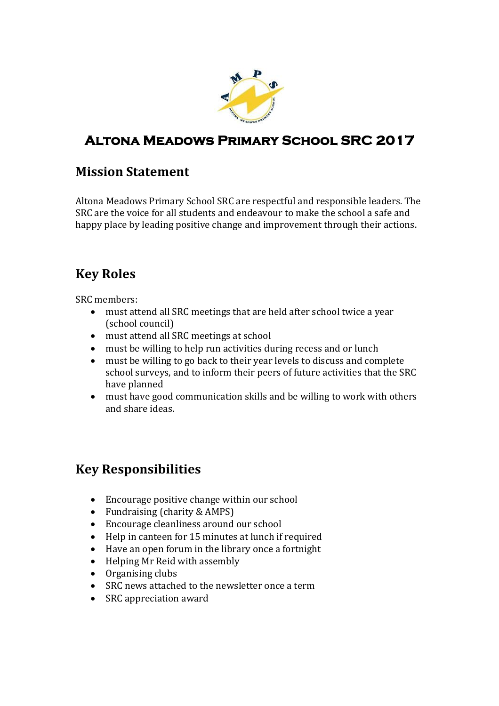

# **Altona Meadows Primary School SRC 2017**

#### **Mission Statement**

Altona Meadows Primary School SRC are respectful and responsible leaders. The SRC are the voice for all students and endeavour to make the school a safe and happy place by leading positive change and improvement through their actions.

# **Key Roles**

SRC members:

- must attend all SRC meetings that are held after school twice a year (school council)
- must attend all SRC meetings at school
- must be willing to help run activities during recess and or lunch
- must be willing to go back to their year levels to discuss and complete school surveys, and to inform their peers of future activities that the SRC have planned
- must have good communication skills and be willing to work with others and share ideas.

## **Key Responsibilities**

- Encourage positive change within our school
- Fundraising (charity & AMPS)
- Encourage cleanliness around our school
- Help in canteen for 15 minutes at lunch if required
- Have an open forum in the library once a fortnight
- Helping Mr Reid with assembly
- Organising clubs
- SRC news attached to the newsletter once a term
- SRC appreciation award